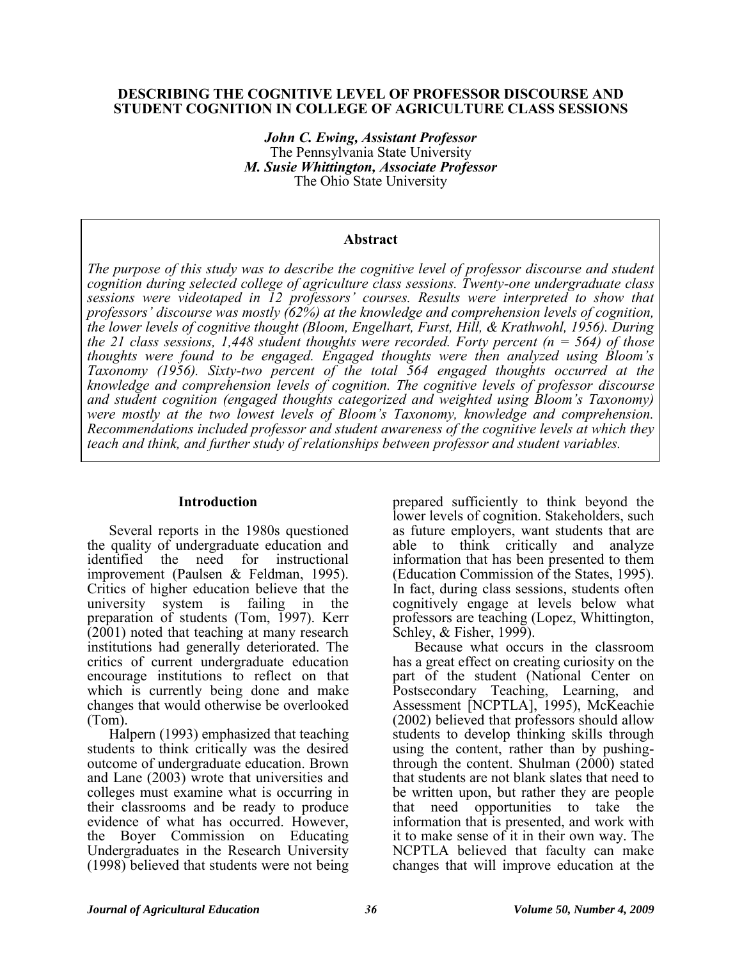#### **DESCRIBING THE COGNITIVE LEVEL OF PROFESSOR DISCOURSE AND STUDENT COGNITION IN COLLEGE OF AGRICULTURE CLASS SESSIONS**

*John C. Ewing, Assistant Professor*  The Pennsylvania State University *M. Susie Whittington, Associate Professor*  The Ohio State University

#### **Abstract**

*The purpose of this study was to describe the cognitive level of professor discourse and student cognition during selected college of agriculture class sessions. Twenty-one undergraduate class sessions were videotaped in 12 professors' courses. Results were interpreted to show that professors' discourse was mostly (62%) at the knowledge and comprehension levels of cognition, the lower levels of cognitive thought (Bloom, Engelhart, Furst, Hill, & Krathwohl, 1956). During the 21 class sessions, 1,448 student thoughts were recorded. Forty percent (n = 564) of those thoughts were found to be engaged. Engaged thoughts were then analyzed using Bloom's Taxonomy (1956). Sixty-two percent of the total 564 engaged thoughts occurred at the knowledge and comprehension levels of cognition. The cognitive levels of professor discourse and student cognition (engaged thoughts categorized and weighted using Bloom's Taxonomy) were mostly at the two lowest levels of Bloom's Taxonomy, knowledge and comprehension. Recommendations included professor and student awareness of the cognitive levels at which they teach and think, and further study of relationships between professor and student variables.* 

#### **Introduction**

Several reports in the 1980s questioned the quality of undergraduate education and identified the need for instructional improvement (Paulsen & Feldman, 1995). Critics of higher education believe that the university system is failing in the preparation of students (Tom, 1997). Kerr  $(2001)$  noted that teaching at many research institutions had generally deteriorated. The critics of current undergraduate education encourage institutions to reflect on that which is currently being done and make changes that would otherwise be overlooked (Tom).

Halpern (1993) emphasized that teaching students to think critically was the desired outcome of undergraduate education. Brown and Lane (2003) wrote that universities and colleges must examine what is occurring in their classrooms and be ready to produce evidence of what has occurred. However, the Boyer Commission on Educating Undergraduates in the Research University (1998) believed that students were not being

prepared sufficiently to think beyond the lower levels of cognition. Stakeholders, such as future employers, want students that are able to think critically and analyze information that has been presented to them (Education Commission of the States, 1995). In fact, during class sessions, students often cognitively engage at levels below what professors are teaching (Lopez, Whittington, Schley, & Fisher, 1999).

Because what occurs in the classroom has a great effect on creating curiosity on the part of the student (National Center on Postsecondary Teaching, Learning, and Assessment [NCPTLA], 1995), McKeachie (2002) believed that professors should allow students to develop thinking skills through using the content, rather than by pushingthrough the content. Shulman (2000) stated that students are not blank slates that need to be written upon, but rather they are people that need opportunities to take the information that is presented, and work with it to make sense of it in their own way. The NCPTLA believed that faculty can make changes that will improve education at the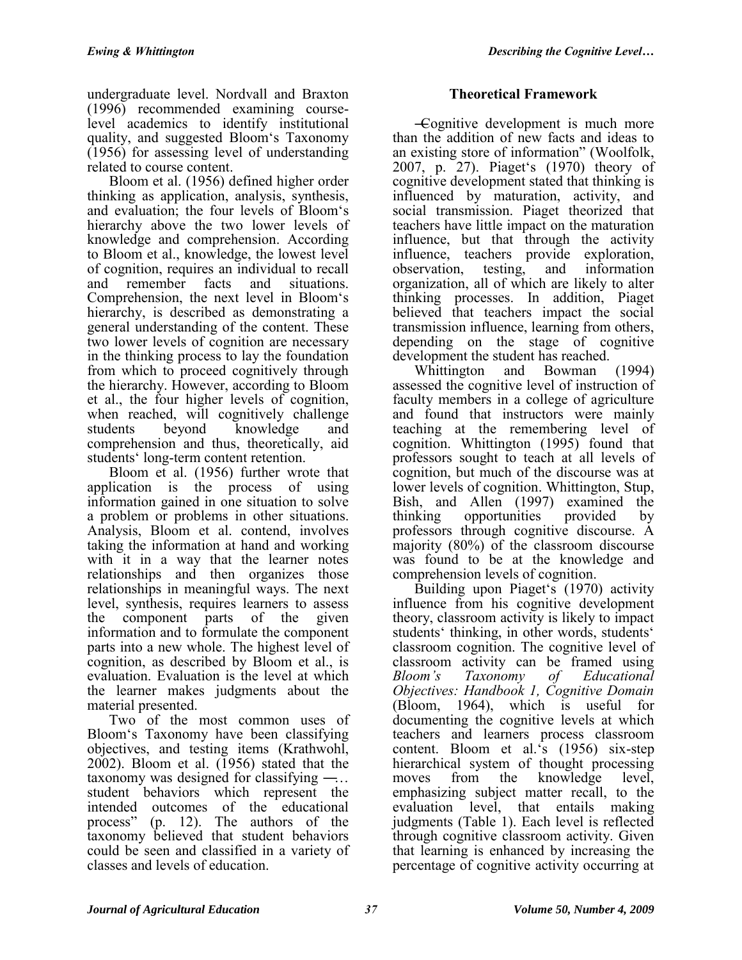undergraduate level. Nordvall and Braxton (1996) recommended examining courselevel academics to identify institutional quality, and suggested Bloom's Taxonomy (1956) for assessing level of understanding related to course content.

Bloom et al. (1956) defined higher order thinking as application, analysis, synthesis, and evaluation; the four levels of Bloom's hierarchy above the two lower levels of knowledge and comprehension. According to Bloom et al., knowledge, the lowest level of cognition, requires an individual to recall<br>and remember facts and situations. and remember facts and situations. Comprehension, the next level in Bloom's hierarchy, is described as demonstrating a general understanding of the content. These two lower levels of cognition are necessary in the thinking process to lay the foundation from which to proceed cognitively through the hierarchy. However, according to Bloom et al., the four higher levels of cognition, when reached, will cognitively challenge students beyond knowledge and comprehension and thus, theoretically, aid students' long-term content retention.

Bloom et al. (1956) further wrote that application is the process of using information gained in one situation to solve a problem or problems in other situations. Analysis, Bloom et al. contend, involves taking the information at hand and working with it in a way that the learner notes relationships and then organizes those relationships in meaningful ways. The next level, synthesis, requires learners to assess the component parts of the given information and to formulate the component parts into a new whole. The highest level of cognition, as described by Bloom et al., is evaluation. Evaluation is the level at which the learner makes judgments about the material presented.

Two of the most common uses of Bloom's Taxonomy have been classifying objectives, and testing items (Krathwohl, 2002). Bloom et al. (1956) stated that the taxonomy was designed for classifying  $-\dots$ student behaviors which represent the intended outcomes of the educational process‖ (p. 12). The authors of the taxonomy believed that student behaviors could be seen and classified in a variety of classes and levels of education.

# **Theoretical Framework**

―Cognitive development is much more than the addition of new facts and ideas to an existing store of information" (Woolfolk, 2007, p. 27). Piaget's (1970) theory of cognitive development stated that thinking is influenced by maturation, activity, and social transmission. Piaget theorized that teachers have little impact on the maturation influence, but that through the activity influence, teachers provide exploration, observation, testing, and information observation, testing, and information organization, all of which are likely to alter thinking processes. In addition, Piaget believed that teachers impact the social transmission influence, learning from others, depending on the stage of cognitive development the student has reached.

Whittington and Bowman (1994) assessed the cognitive level of instruction of faculty members in a college of agriculture and found that instructors were mainly teaching at the remembering level of cognition. Whittington (1995) found that professors sought to teach at all levels of cognition, but much of the discourse was at lower levels of cognition. Whittington, Stup, Bish, and Allen (1997) examined the thinking opportunities provided by professors through cognitive discourse. A majority (80%) of the classroom discourse was found to be at the knowledge and comprehension levels of cognition.

Building upon Piaget's (1970) activity influence from his cognitive development theory, classroom activity is likely to impact students' thinking, in other words, students' classroom cognition. The cognitive level of classroom activity can be framed using *Bloom's Taxonomy of Educational Objectives: Handbook 1, Cognitive Domain*  (Bloom, 1964), which is useful for documenting the cognitive levels at which teachers and learners process classroom content. Bloom et al.'s (1956) six-step hierarchical system of thought processing moves from the knowledge level, emphasizing subject matter recall, to the evaluation level, that entails making judgments (Table 1). Each level is reflected through cognitive classroom activity. Given that learning is enhanced by increasing the percentage of cognitive activity occurring at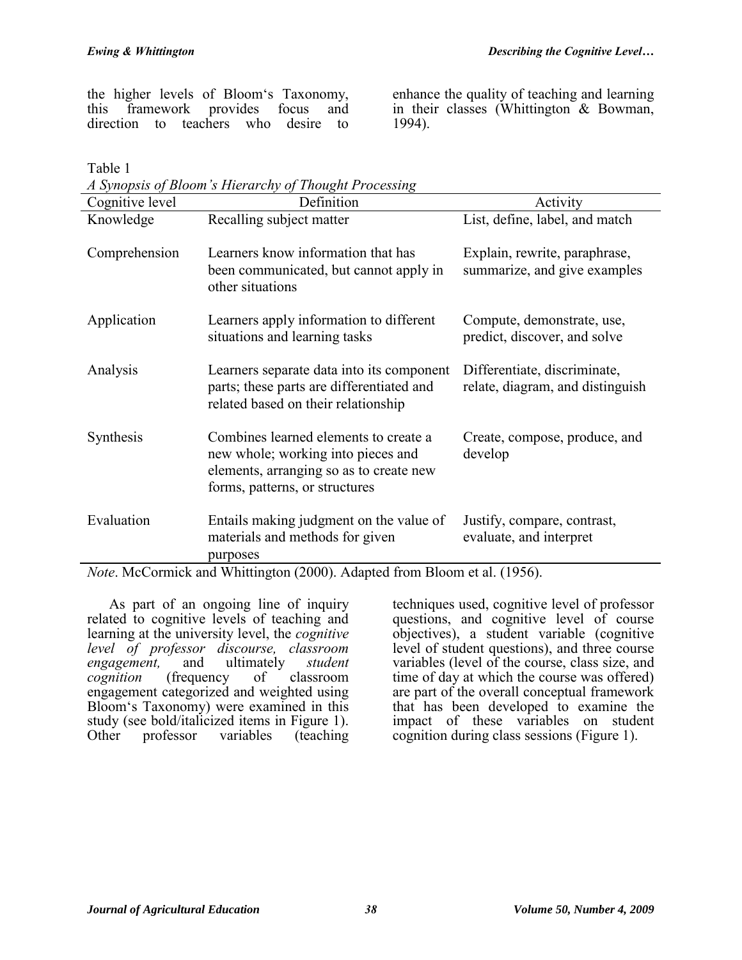the higher levels of Bloom's Taxonomy,<br>this framework provides focus and framework provides focus and direction to teachers who desire to

enhance the quality of teaching and learning in their classes (Whittington & Bowman, 1994).

Table 1

| A Synopsis of Bloom's Hierarchy of Thought Processing |                                                                                                                                                          |                                                                  |  |  |  |  |  |  |
|-------------------------------------------------------|----------------------------------------------------------------------------------------------------------------------------------------------------------|------------------------------------------------------------------|--|--|--|--|--|--|
| Cognitive level                                       | Definition                                                                                                                                               | Activity                                                         |  |  |  |  |  |  |
| Knowledge                                             | Recalling subject matter                                                                                                                                 | List, define, label, and match                                   |  |  |  |  |  |  |
| Comprehension                                         | Learners know information that has<br>been communicated, but cannot apply in<br>other situations                                                         | Explain, rewrite, paraphrase,<br>summarize, and give examples    |  |  |  |  |  |  |
| Application                                           | Learners apply information to different<br>situations and learning tasks                                                                                 | Compute, demonstrate, use,<br>predict, discover, and solve       |  |  |  |  |  |  |
| Analysis                                              | Learners separate data into its component<br>parts; these parts are differentiated and<br>related based on their relationship                            | Differentiate, discriminate,<br>relate, diagram, and distinguish |  |  |  |  |  |  |
| Synthesis                                             | Combines learned elements to create a<br>new whole; working into pieces and<br>elements, arranging so as to create new<br>forms, patterns, or structures | Create, compose, produce, and<br>develop                         |  |  |  |  |  |  |
| Evaluation                                            | Entails making judgment on the value of<br>materials and methods for given<br>purposes                                                                   | Justify, compare, contrast,<br>evaluate, and interpret           |  |  |  |  |  |  |

*Note*. McCormick and Whittington (2000). Adapted from Bloom et al. (1956).

As part of an ongoing line of inquiry related to cognitive levels of teaching and learning at the university level, the *cognitive level of professor discourse, classroom engagement,* and ultimately *student comity* of classroom engagement categorized and weighted using Bloom's Taxonomy) were examined in this study (see bold/italicized items in Figure 1).<br>Other professor variables (teaching professor variables (teaching

techniques used, cognitive level of professor questions, and cognitive level of course objectives), a student variable (cognitive level of student questions), and three course variables (level of the course, class size, and time of day at which the course was offered) are part of the overall conceptual framework that has been developed to examine the impact of these variables on student cognition during class sessions (Figure 1).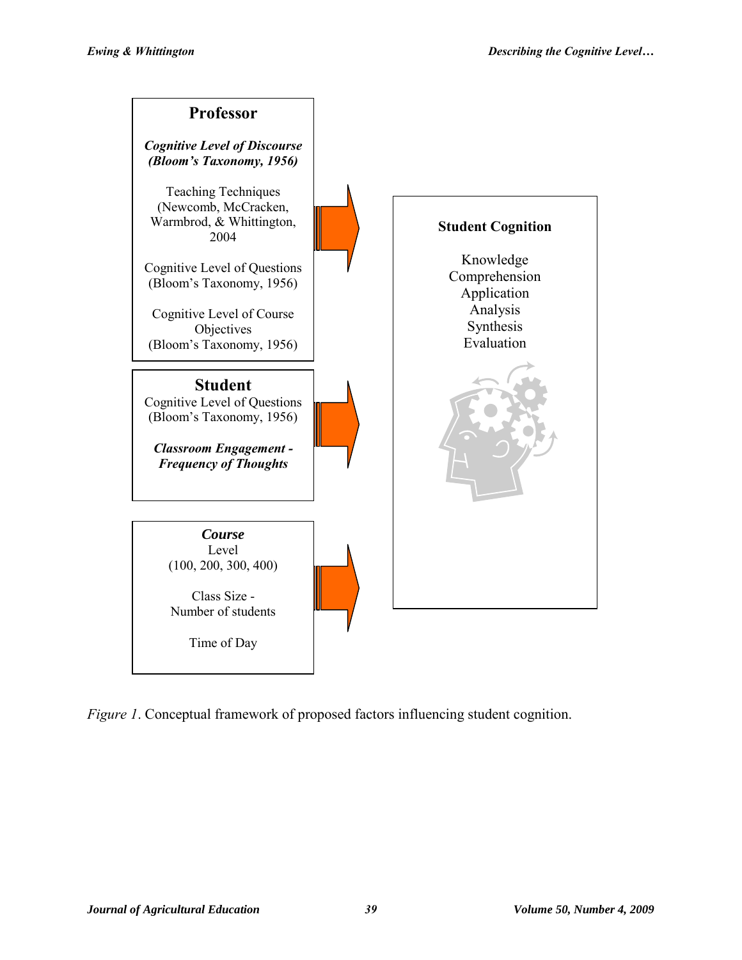

*Figure 1*. Conceptual framework of proposed factors influencing student cognition.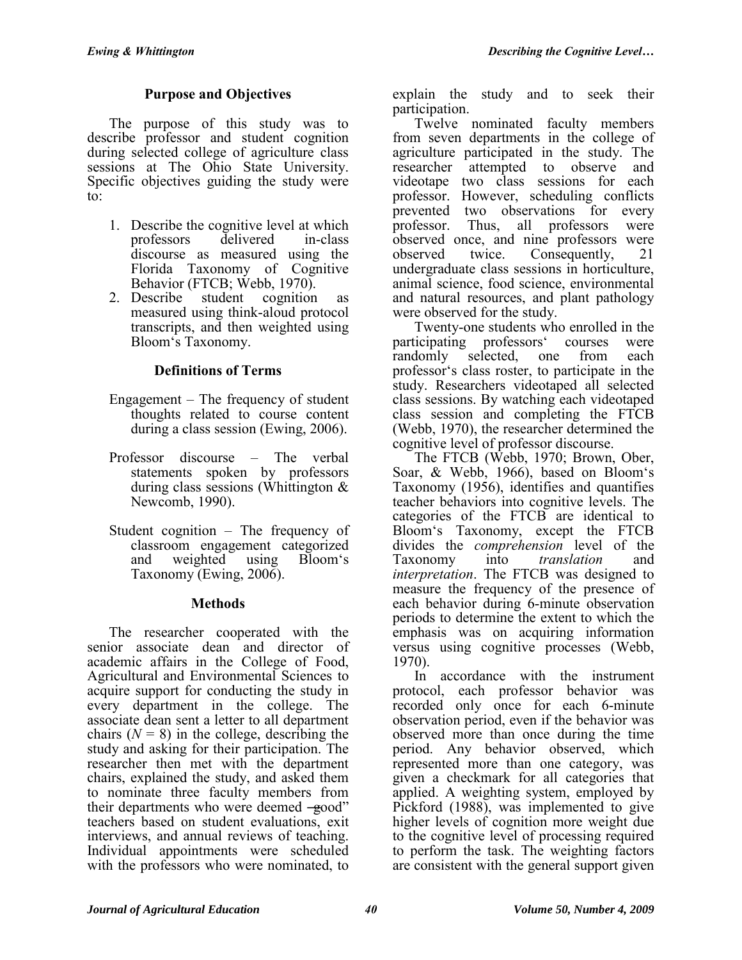## **Purpose and Objectives**

The purpose of this study was to describe professor and student cognition during selected college of agriculture class sessions at The Ohio State University. Specific objectives guiding the study were to:

- 1. Describe the cognitive level at which<br>professors delivered in-class professors delivered in-class discourse as measured using the Florida Taxonomy of Cognitive Behavior (FTCB; Webb, 1970).
- 2. Describe student cognition as measured using think-aloud protocol transcripts, and then weighted using Bloom's Taxonomy.

### **Definitions of Terms**

- Engagement The frequency of student thoughts related to course content during a class session (Ewing, 2006).
- Professor discourse The verbal statements spoken by professors during class sessions (Whittington & Newcomb, 1990).
- Student cognition The frequency of classroom engagement categorized and weighted using Bloom's Taxonomy (Ewing, 2006).

### **Methods**

The researcher cooperated with the senior associate dean and director of academic affairs in the College of Food, Agricultural and Environmental Sciences to acquire support for conducting the study in every department in the college. The associate dean sent a letter to all department chairs  $(N = 8)$  in the college, describing the study and asking for their participation. The researcher then met with the department chairs, explained the study, and asked them to nominate three faculty members from their departments who were deemed  $-\xi$ ood" teachers based on student evaluations, exit interviews, and annual reviews of teaching. Individual appointments were scheduled with the professors who were nominated, to

explain the study and to seek their participation.

Twelve nominated faculty members from seven departments in the college of agriculture participated in the study. The researcher attempted to observe and videotape two class sessions for each professor. However, scheduling conflicts prevented two observations for every professor. Thus, all professors were observed once, and nine professors were<br>observed twice. Consequently, 21 observed twice. Consequently, 21 undergraduate class sessions in horticulture, animal science, food science, environmental and natural resources, and plant pathology were observed for the study.

Twenty-one students who enrolled in the participating professors' courses were randomly selected, one from each professor's class roster, to participate in the study. Researchers videotaped all selected class sessions. By watching each videotaped class session and completing the FTCB (Webb, 1970), the researcher determined the cognitive level of professor discourse.

The FTCB (Webb, 1970; Brown, Ober, Soar, & Webb, 1966), based on Bloom's Taxonomy (1956), identifies and quantifies teacher behaviors into cognitive levels. The categories of the FTCB are identical to Bloom's Taxonomy, except the FTCB divides the *comprehension* level of the Taxonomy into *translation* and *interpretation*. The FTCB was designed to measure the frequency of the presence of each behavior during 6-minute observation periods to determine the extent to which the emphasis was on acquiring information versus using cognitive processes (Webb, 1970).

In accordance with the instrument protocol, each professor behavior was recorded only once for each 6-minute observation period, even if the behavior was observed more than once during the time period. Any behavior observed, which represented more than one category, was given a checkmark for all categories that applied. A weighting system, employed by Pickford (1988), was implemented to give higher levels of cognition more weight due to the cognitive level of processing required to perform the task. The weighting factors are consistent with the general support given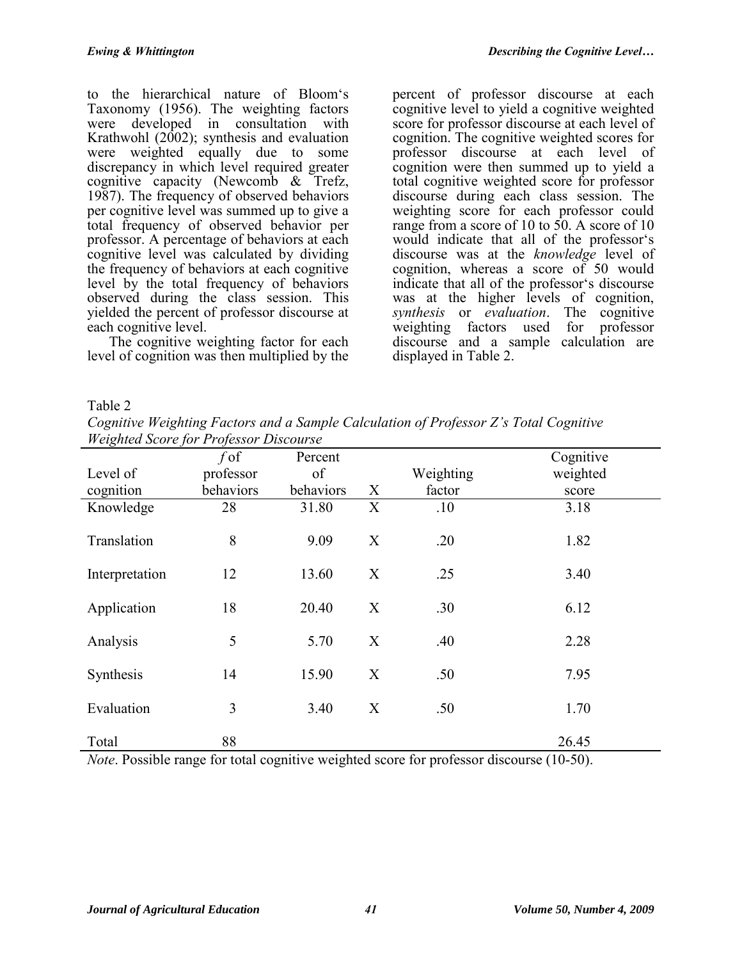to the hierarchical nature of Bloom's Taxonomy (1956). The weighting factors were developed in consultation with Krathwohl (2002); synthesis and evaluation were weighted equally due to some discrepancy in which level required greater cognitive capacity (Newcomb & Trefz, 1987). The frequency of observed behaviors per cognitive level was summed up to give a total frequency of observed behavior per professor. A percentage of behaviors at each cognitive level was calculated by dividing the frequency of behaviors at each cognitive level by the total frequency of behaviors observed during the class session. This yielded the percent of professor discourse at each cognitive level.

The cognitive weighting factor for each level of cognition was then multiplied by the

percent of professor discourse at each cognitive level to yield a cognitive weighted score for professor discourse at each level of cognition. The cognitive weighted scores for professor discourse at each level of cognition were then summed up to yield a total cognitive weighted score for professor discourse during each class session. The weighting score for each professor could range from a score of 10 to 50. A score of 10 would indicate that all of the professor's discourse was at the *knowledge* level of cognition, whereas a score of 50 would indicate that all of the professor's discourse was at the higher levels of cognition, *synthesis* or *evaluation*. The cognitive weighting factors used for professor discourse and a sample calculation are displayed in Table 2.

Table 2

*Cognitive Weighting Factors and a Sample Calculation of Professor Z's Total Cognitive Weighted Score for Professor Discourse*

| ັ              | ◡<br>$f$ of | Percent   |   |           | Cognitive |
|----------------|-------------|-----------|---|-----------|-----------|
| Level of       | professor   | of        |   | Weighting | weighted  |
| cognition      | behaviors   | behaviors | X | factor    | score     |
| Knowledge      | 28          | 31.80     | X | .10       | 3.18      |
| Translation    | 8           | 9.09      | X | .20       | 1.82      |
| Interpretation | 12          | 13.60     | X | .25       | 3.40      |
| Application    | 18          | 20.40     | X | .30       | 6.12      |
| Analysis       | 5           | 5.70      | X | .40       | 2.28      |
| Synthesis      | 14          | 15.90     | X | .50       | 7.95      |
| Evaluation     | 3           | 3.40      | X | .50       | 1.70      |
| Total          | 88          |           |   |           | 26.45     |

*Note*. Possible range for total cognitive weighted score for professor discourse (10-50).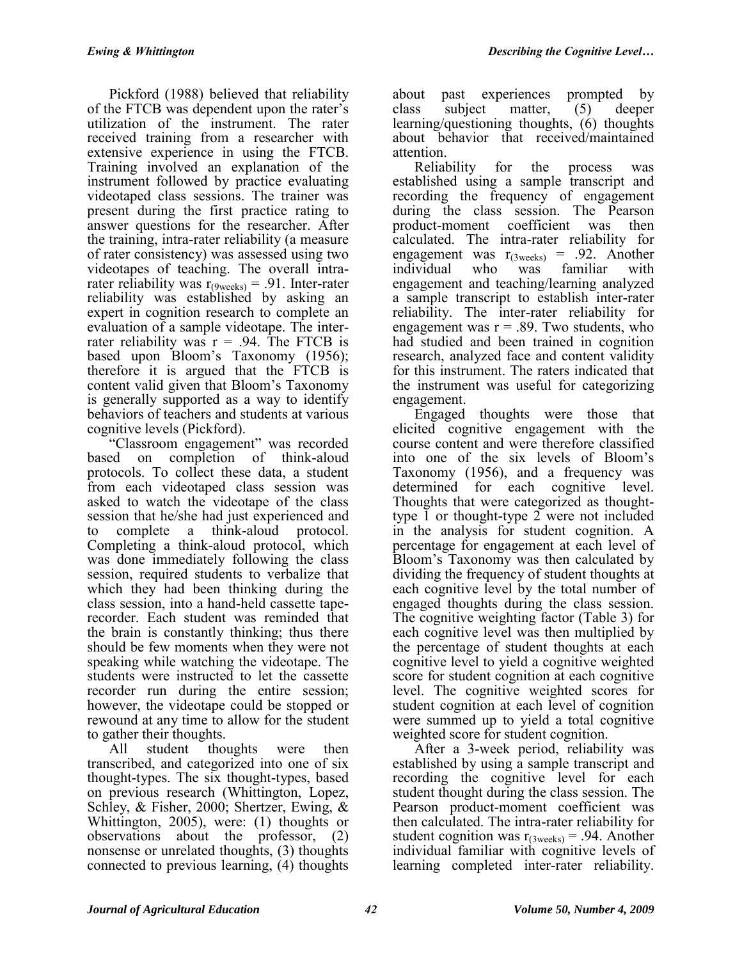Pickford (1988) believed that reliability of the FTCB was dependent upon the rater's utilization of the instrument. The rater received training from a researcher with extensive experience in using the FTCB. Training involved an explanation of the instrument followed by practice evaluating videotaped class sessions. The trainer was present during the first practice rating to answer questions for the researcher. After the training, intra-rater reliability (a measure of rater consistency) was assessed using two videotapes of teaching. The overall intrarater reliability was  $r_{(9 \text{ weeks})} = .91$ . Inter-rater reliability was established by asking an expert in cognition research to complete an evaluation of a sample videotape. The interrater reliability was  $r = .94$ . The FTCB is based upon Bloom's Taxonomy (1956); therefore it is argued that the FTCB is content valid given that Bloom's Taxonomy is generally supported as a way to identify behaviors of teachers and students at various cognitive levels (Pickford).

"Classroom engagement" was recorded based on completion of think-aloud protocols. To collect these data, a student from each videotaped class session was asked to watch the videotape of the class session that he/she had just experienced and to complete a think-aloud protocol. Completing a think-aloud protocol, which was done immediately following the class session, required students to verbalize that which they had been thinking during the class session, into a hand-held cassette taperecorder. Each student was reminded that the brain is constantly thinking; thus there should be few moments when they were not speaking while watching the videotape. The students were instructed to let the cassette recorder run during the entire session; however, the videotape could be stopped or rewound at any time to allow for the student to gather their thoughts.

All student thoughts were then transcribed, and categorized into one of six thought-types. The six thought-types, based on previous research (Whittington, Lopez, Schley, & Fisher, 2000; Shertzer, Ewing, & Whittington, 2005), were: (1) thoughts or observations about the professor, (2) nonsense or unrelated thoughts, (3) thoughts connected to previous learning, (4) thoughts

about past experiences prompted by class subject matter, (5) deeper learning/questioning thoughts, (6) thoughts about behavior that received/maintained attention.

Reliability for the process was established using a sample transcript and recording the frequency of engagement during the class session. The Pearson product-moment coefficient was then calculated. The intra-rater reliability for engagement was  $r_{(3 \text{ weeks})} = .92$ . Another individual who was familiar with individual who was familiar with engagement and teaching/learning analyzed a sample transcript to establish inter-rater reliability. The inter-rater reliability for engagement was  $r = .89$ . Two students, who had studied and been trained in cognition research, analyzed face and content validity for this instrument. The raters indicated that the instrument was useful for categorizing engagement.

Engaged thoughts were those that elicited cognitive engagement with the course content and were therefore classified into one of the six levels of Bloom's Taxonomy (1956), and a frequency was determined for each cognitive level. Thoughts that were categorized as thoughttype 1 or thought-type 2 were not included in the analysis for student cognition. A percentage for engagement at each level of Bloom's Taxonomy was then calculated by dividing the frequency of student thoughts at each cognitive level by the total number of engaged thoughts during the class session. The cognitive weighting factor (Table 3) for each cognitive level was then multiplied by the percentage of student thoughts at each cognitive level to yield a cognitive weighted score for student cognition at each cognitive level. The cognitive weighted scores for student cognition at each level of cognition were summed up to yield a total cognitive weighted score for student cognition.

After a 3-week period, reliability was established by using a sample transcript and recording the cognitive level for each student thought during the class session. The Pearson product-moment coefficient was then calculated. The intra-rater reliability for student cognition was  $r_{(3 \text{ weeks})} = .94$ . Another individual familiar with cognitive levels of learning completed inter-rater reliability.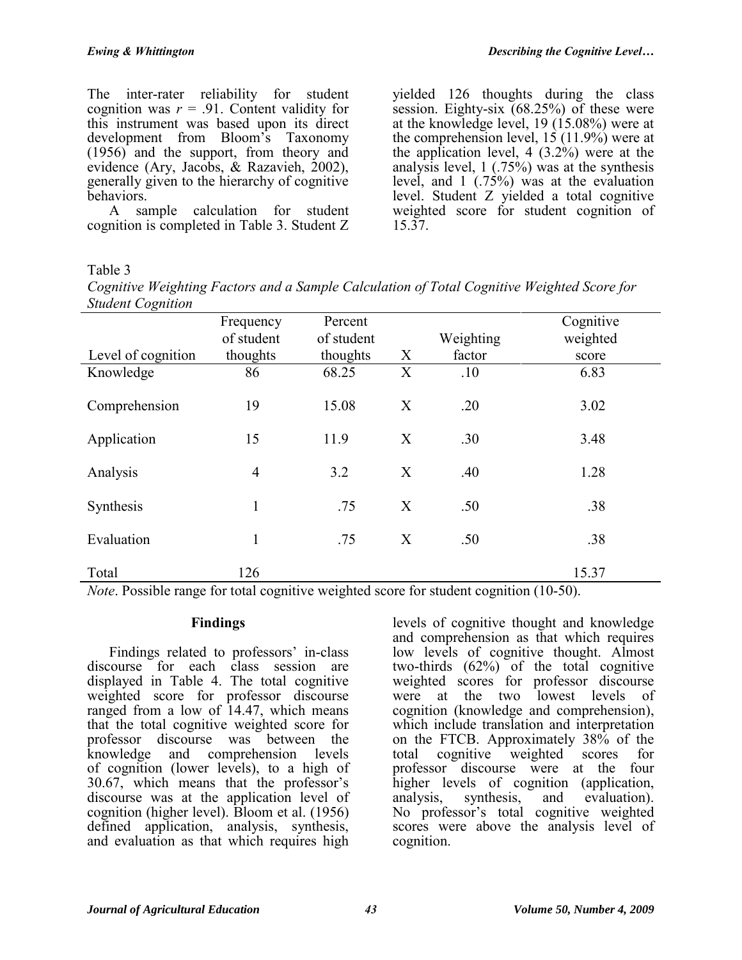The inter-rater reliability for student cognition was  $r = .91$ . Content validity for this instrument was based upon its direct development from Bloom's Taxonomy (1956) and the support, from theory and evidence (Ary, Jacobs, & Razavieh, 2002), generally given to the hierarchy of cognitive behaviors.

A sample calculation for student cognition is completed in Table 3. Student Z

yielded 126 thoughts during the class session. Eighty-six  $(68.25%)$  of these were at the knowledge level, 19 (15.08%) were at the comprehension level, 15 (11.9%) were at the application level, 4 (3.2%) were at the analysis level, 1 (.75%) was at the synthesis level, and 1 (.75%) was at the evaluation level. Student Z yielded a total cognitive weighted score for student cognition of 15.37.

## Table 3

*Cognitive Weighting Factors and a Sample Calculation of Total Cognitive Weighted Score for Student Cognition*

|                                               | Frequency                       | Percent    |        |                                                        | Cognitive            |
|-----------------------------------------------|---------------------------------|------------|--------|--------------------------------------------------------|----------------------|
|                                               | of student                      | of student |        | Weighting                                              | weighted             |
| Level of cognition                            | thoughts                        | thoughts   | X      | factor                                                 | score                |
| Knowledge                                     | 86                              | 68.25      | X      | .10                                                    | 6.83                 |
| Comprehension                                 | 19                              | 15.08      | X      | .20                                                    | 3.02                 |
| Application                                   | 15                              | 11.9       | X      | .30                                                    | 3.48                 |
| Analysis                                      | $\overline{4}$                  | 3.2        | X      | .40                                                    | 1.28                 |
| Synthesis                                     |                                 | .75        | X      | .50                                                    | .38                  |
| Evaluation                                    |                                 | .75        | X      | .50                                                    | .38                  |
| Total<br>$-1$<br>$\mathbf{r}$<br>$\mathbf{v}$ | 126<br>$\ddotsc$<br>$\sim$<br>. | .          | $\sim$ | $\cdot$ . $\cdot$<br>and the state of the state of the | 15.37<br>$(100 - 0)$ |

*Note*. Possible range for total cognitive weighted score for student cognition (10-50).

## **Findings**

Findings related to professors' in-class discourse for each class session are displayed in Table 4. The total cognitive weighted score for professor discourse ranged from a low of 14.47, which means that the total cognitive weighted score for professor discourse was between the knowledge and comprehension levels of cognition (lower levels), to a high of 30.67, which means that the professor's discourse was at the application level of cognition (higher level). Bloom et al. (1956) defined application, analysis, synthesis, and evaluation as that which requires high levels of cognitive thought and knowledge and comprehension as that which requires low levels of cognitive thought. Almost two-thirds  $(62\%)$  of the total cognitive weighted scores for professor discourse were at the two lowest levels of cognition (knowledge and comprehension), which include translation and interpretation on the FTCB. Approximately 38% of the total cognitive weighted scores for professor discourse were at the four higher levels of cognition (application, analysis, synthesis, and evaluation). No professor's total cognitive weighted scores were above the analysis level of cognition.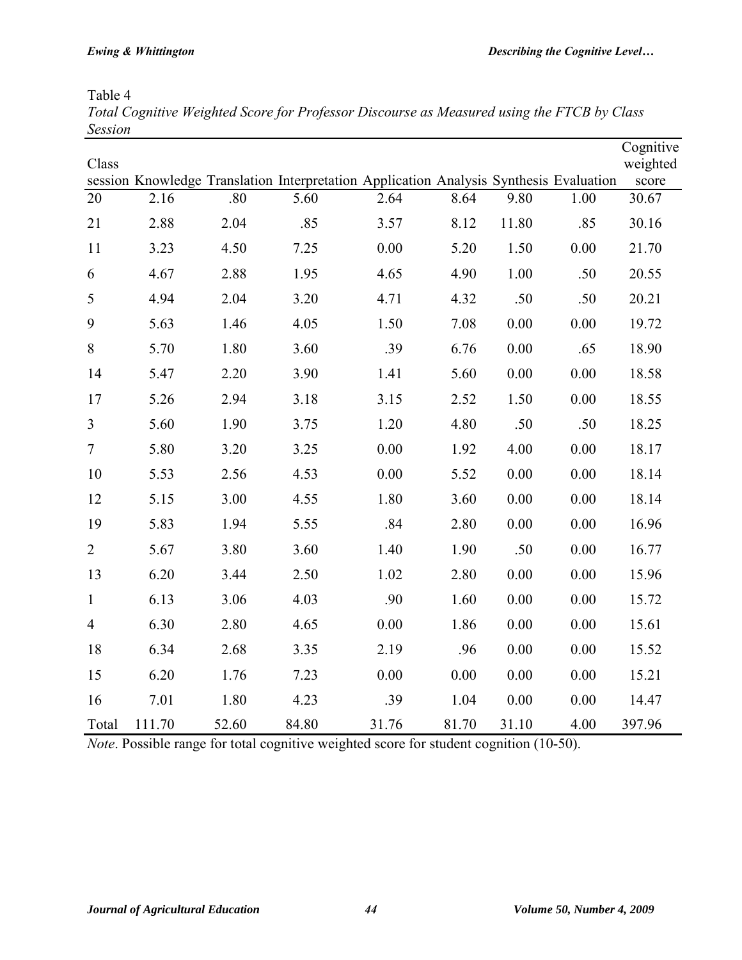Table 4

| Total Cognitive Weighted Score for Professor Discourse as Measured using the FTCB by Class |  |  |  |  |
|--------------------------------------------------------------------------------------------|--|--|--|--|
| <b>Session</b>                                                                             |  |  |  |  |

| Class          |        |       |                                                                                        |       |       |       |      | Cognitive<br>weighted |
|----------------|--------|-------|----------------------------------------------------------------------------------------|-------|-------|-------|------|-----------------------|
|                |        |       | session Knowledge Translation Interpretation Application Analysis Synthesis Evaluation |       |       |       |      | score                 |
| 20             | 2.16   | .80   | 5.60                                                                                   | 2.64  | 8.64  | 9.80  | 1.00 | 30.67                 |
| 21             | 2.88   | 2.04  | .85                                                                                    | 3.57  | 8.12  | 11.80 | .85  | 30.16                 |
| 11             | 3.23   | 4.50  | 7.25                                                                                   | 0.00  | 5.20  | 1.50  | 0.00 | 21.70                 |
| 6              | 4.67   | 2.88  | 1.95                                                                                   | 4.65  | 4.90  | 1.00  | .50  | 20.55                 |
| 5              | 4.94   | 2.04  | 3.20                                                                                   | 4.71  | 4.32  | .50   | .50  | 20.21                 |
| 9              | 5.63   | 1.46  | 4.05                                                                                   | 1.50  | 7.08  | 0.00  | 0.00 | 19.72                 |
| $\,8\,$        | 5.70   | 1.80  | 3.60                                                                                   | .39   | 6.76  | 0.00  | .65  | 18.90                 |
| 14             | 5.47   | 2.20  | 3.90                                                                                   | 1.41  | 5.60  | 0.00  | 0.00 | 18.58                 |
| 17             | 5.26   | 2.94  | 3.18                                                                                   | 3.15  | 2.52  | 1.50  | 0.00 | 18.55                 |
| 3              | 5.60   | 1.90  | 3.75                                                                                   | 1.20  | 4.80  | .50   | .50  | 18.25                 |
| $\overline{7}$ | 5.80   | 3.20  | 3.25                                                                                   | 0.00  | 1.92  | 4.00  | 0.00 | 18.17                 |
| 10             | 5.53   | 2.56  | 4.53                                                                                   | 0.00  | 5.52  | 0.00  | 0.00 | 18.14                 |
| 12             | 5.15   | 3.00  | 4.55                                                                                   | 1.80  | 3.60  | 0.00  | 0.00 | 18.14                 |
| 19             | 5.83   | 1.94  | 5.55                                                                                   | .84   | 2.80  | 0.00  | 0.00 | 16.96                 |
| $\overline{2}$ | 5.67   | 3.80  | 3.60                                                                                   | 1.40  | 1.90  | .50   | 0.00 | 16.77                 |
| 13             | 6.20   | 3.44  | 2.50                                                                                   | 1.02  | 2.80  | 0.00  | 0.00 | 15.96                 |
| $\mathbf{1}$   | 6.13   | 3.06  | 4.03                                                                                   | .90   | 1.60  | 0.00  | 0.00 | 15.72                 |
| $\overline{4}$ | 6.30   | 2.80  | 4.65                                                                                   | 0.00  | 1.86  | 0.00  | 0.00 | 15.61                 |
| 18             | 6.34   | 2.68  | 3.35                                                                                   | 2.19  | .96   | 0.00  | 0.00 | 15.52                 |
| 15             | 6.20   | 1.76  | 7.23                                                                                   | 0.00  | 0.00  | 0.00  | 0.00 | 15.21                 |
| 16             | 7.01   | 1.80  | 4.23                                                                                   | .39   | 1.04  | 0.00  | 0.00 | 14.47                 |
| Total          | 111.70 | 52.60 | 84.80                                                                                  | 31.76 | 81.70 | 31.10 | 4.00 | 397.96                |

*Note*. Possible range for total cognitive weighted score for student cognition (10-50).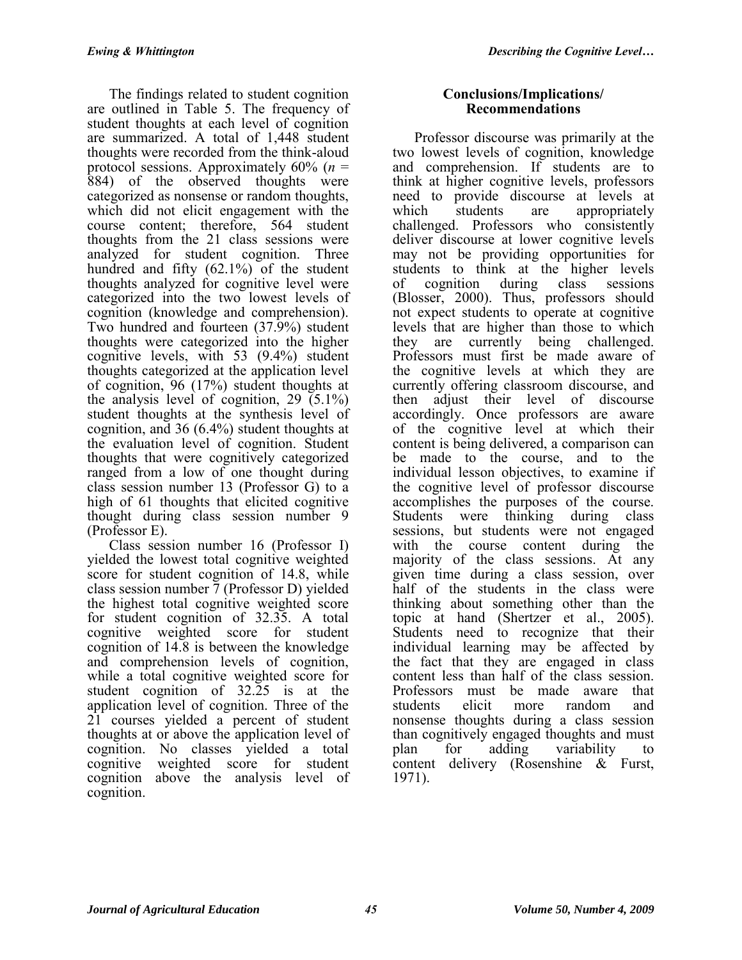The findings related to student cognition are outlined in Table 5. The frequency of student thoughts at each level of cognition are summarized. A total of 1,448 student thoughts were recorded from the think-aloud protocol sessions. Approximately 60% (*n* = 884) of the observed thoughts were categorized as nonsense or random thoughts, which did not elicit engagement with the course content; therefore, 564 student thoughts from the 21 class sessions were analyzed for student cognition. Three hundred and fifty (62.1%) of the student thoughts analyzed for cognitive level were categorized into the two lowest levels of cognition (knowledge and comprehension). Two hundred and fourteen (37.9%) student thoughts were categorized into the higher cognitive levels, with 53 (9.4%) student thoughts categorized at the application level of cognition, 96 (17%) student thoughts at the analysis level of cognition,  $29(5.1\%)$ student thoughts at the synthesis level of cognition, and 36 (6.4%) student thoughts at the evaluation level of cognition. Student thoughts that were cognitively categorized ranged from a low of one thought during class session number 13 (Professor G) to a high of 61 thoughts that elicited cognitive thought during class session number 9 (Professor E).

Class session number 16 (Professor I) yielded the lowest total cognitive weighted score for student cognition of 14.8, while class session number 7 (Professor D) yielded the highest total cognitive weighted score for student cognition of 32.35. A total cognitive weighted score for student cognition of 14.8 is between the knowledge and comprehension levels of cognition, while a total cognitive weighted score for student cognition of 32.25 is at the application level of cognition. Three of the 21 courses yielded a percent of student thoughts at or above the application level of cognition. No classes yielded a total cognitive weighted score for student cognition above the analysis level of cognition.

### **Conclusions/Implications/ Recommendations**

Professor discourse was primarily at the two lowest levels of cognition, knowledge and comprehension. If students are to think at higher cognitive levels, professors need to provide discourse at levels at which students are appropriately challenged. Professors who consistently deliver discourse at lower cognitive levels may not be providing opportunities for students to think at the higher levels of cognition during class sessions (Blosser, 2000). Thus, professors should not expect students to operate at cognitive levels that are higher than those to which they are currently being challenged. Professors must first be made aware of the cognitive levels at which they are currently offering classroom discourse, and then adjust their level of discourse accordingly. Once professors are aware of the cognitive level at which their content is being delivered, a comparison can be made to the course, and to the individual lesson objectives, to examine if the cognitive level of professor discourse accomplishes the purposes of the course. Students were thinking during class sessions, but students were not engaged with the course content during the majority of the class sessions. At any given time during a class session, over half of the students in the class were thinking about something other than the topic at hand (Shertzer et al., 2005). Students need to recognize that their individual learning may be affected by the fact that they are engaged in class content less than half of the class session. Professors must be made aware that<br>students elicit more random and students elicit more random and nonsense thoughts during a class session than cognitively engaged thoughts and must plan for adding variability to content delivery (Rosenshine & Furst, 1971).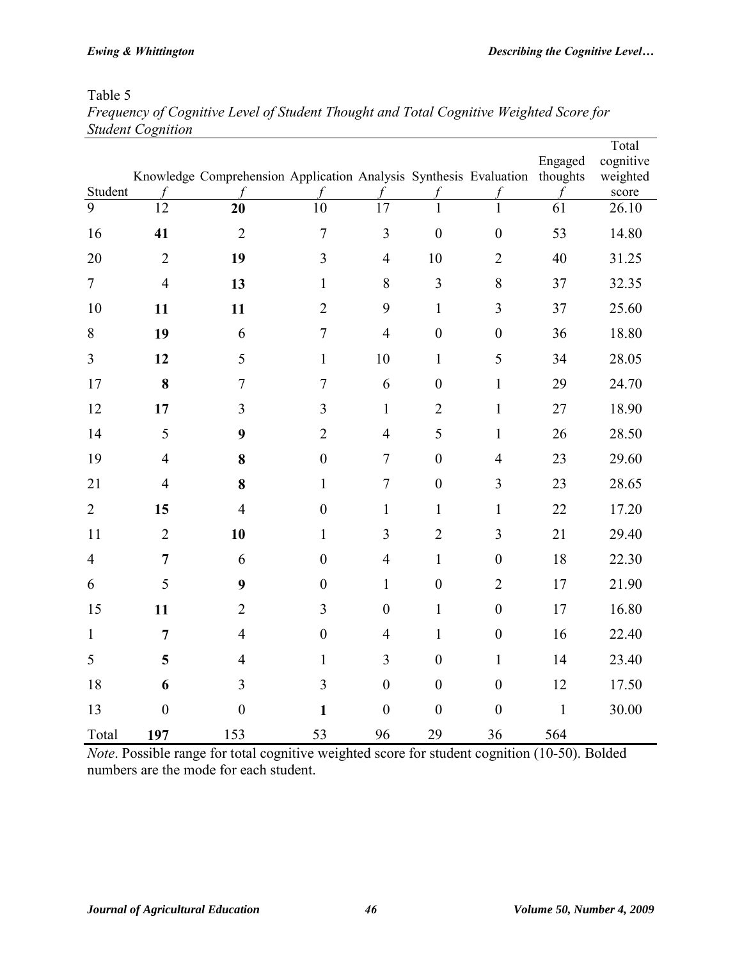# Table 5

| Frequency of Cognitive Level of Student Thought and Total Cognitive Weighted Score for |  |
|----------------------------------------------------------------------------------------|--|
| <b>Student Cognition</b>                                                               |  |

| Student        |                  | Knowledge Comprehension Application Analysis Synthesis Evaluation thoughts |                  |                  |                  |                  | Engaged      | Total<br>cognitive<br>weighted |
|----------------|------------------|----------------------------------------------------------------------------|------------------|------------------|------------------|------------------|--------------|--------------------------------|
| 9              | 12               | 20                                                                         | 10               | 17               |                  | 1                | 61           | score<br>26.10                 |
| 16             | 41               | $\overline{2}$                                                             | $\overline{7}$   | $\overline{3}$   | $\boldsymbol{0}$ | $\overline{0}$   | 53           | 14.80                          |
| 20             | $\overline{2}$   | 19                                                                         | 3                | $\overline{4}$   | 10               | $\overline{2}$   | 40           | 31.25                          |
| $\overline{7}$ | $\overline{4}$   | 13                                                                         | $\mathbf{1}$     | $\,$ $\,$        | $\overline{3}$   | 8                | 37           | 32.35                          |
| 10             | 11               | 11                                                                         | $\overline{2}$   | 9                | $\mathbf{1}$     | 3                | 37           | 25.60                          |
| 8              | 19               | 6                                                                          | $\overline{7}$   | $\overline{4}$   | $\boldsymbol{0}$ | $\boldsymbol{0}$ | 36           | 18.80                          |
| 3              | 12               | 5                                                                          | $\mathbf{1}$     | 10               | $\mathbf{1}$     | 5                | 34           | 28.05                          |
| 17             | 8                | $\tau$                                                                     | $\overline{7}$   | 6                | $\boldsymbol{0}$ | $\mathbf{1}$     | 29           | 24.70                          |
| 12             | 17               | 3                                                                          | 3                | $\mathbf{1}$     | $\overline{2}$   | $\mathbf{1}$     | 27           | 18.90                          |
| 14             | 5                | 9                                                                          | $\overline{2}$   | $\overline{4}$   | 5                | $\mathbf{1}$     | 26           | 28.50                          |
| 19             | $\overline{4}$   | 8                                                                          | $\boldsymbol{0}$ | $\overline{7}$   | $\boldsymbol{0}$ | $\overline{4}$   | 23           | 29.60                          |
| 21             | $\overline{4}$   | 8                                                                          | $\mathbf{1}$     | $\overline{7}$   | $\boldsymbol{0}$ | $\overline{3}$   | 23           | 28.65                          |
| $\overline{2}$ | 15               | $\overline{4}$                                                             | $\boldsymbol{0}$ | $\mathbf{1}$     | $\mathbf{1}$     | $\mathbf{1}$     | 22           | 17.20                          |
| 11             | $\overline{2}$   | 10                                                                         | $\mathbf{1}$     | 3                | $\overline{2}$   | $\overline{3}$   | 21           | 29.40                          |
| $\overline{4}$ | $\overline{7}$   | 6                                                                          | $\boldsymbol{0}$ | $\overline{4}$   | $\mathbf{1}$     | $\boldsymbol{0}$ | 18           | 22.30                          |
| 6              | 5                | 9                                                                          | $\boldsymbol{0}$ | $\mathbf{1}$     | $\boldsymbol{0}$ | $\overline{2}$   | 17           | 21.90                          |
| 15             | 11               | $\overline{2}$                                                             | 3                | $\boldsymbol{0}$ | $\mathbf{1}$     | $\boldsymbol{0}$ | 17           | 16.80                          |
| $\mathbf{1}$   | $\overline{7}$   | $\overline{4}$                                                             | $\boldsymbol{0}$ | $\overline{4}$   | $\mathbf{1}$     | $\boldsymbol{0}$ | 16           | 22.40                          |
| 5              | 5                | $\overline{4}$                                                             | $\mathbf{1}$     | 3                | $\boldsymbol{0}$ | $\mathbf{1}$     | 14           | 23.40                          |
| 18             | 6                | 3                                                                          | $\overline{3}$   | $\boldsymbol{0}$ | $\boldsymbol{0}$ | $\boldsymbol{0}$ | 12           | 17.50                          |
| 13             | $\boldsymbol{0}$ | $\boldsymbol{0}$                                                           | $\mathbf{1}$     | $\boldsymbol{0}$ | $\boldsymbol{0}$ | $\boldsymbol{0}$ | $\mathbf{1}$ | 30.00                          |
| Total          | 197              | 153                                                                        | 53               | 96               | 29               | 36               | 564          |                                |

*Note*. Possible range for total cognitive weighted score for student cognition (10-50). Bolded numbers are the mode for each student.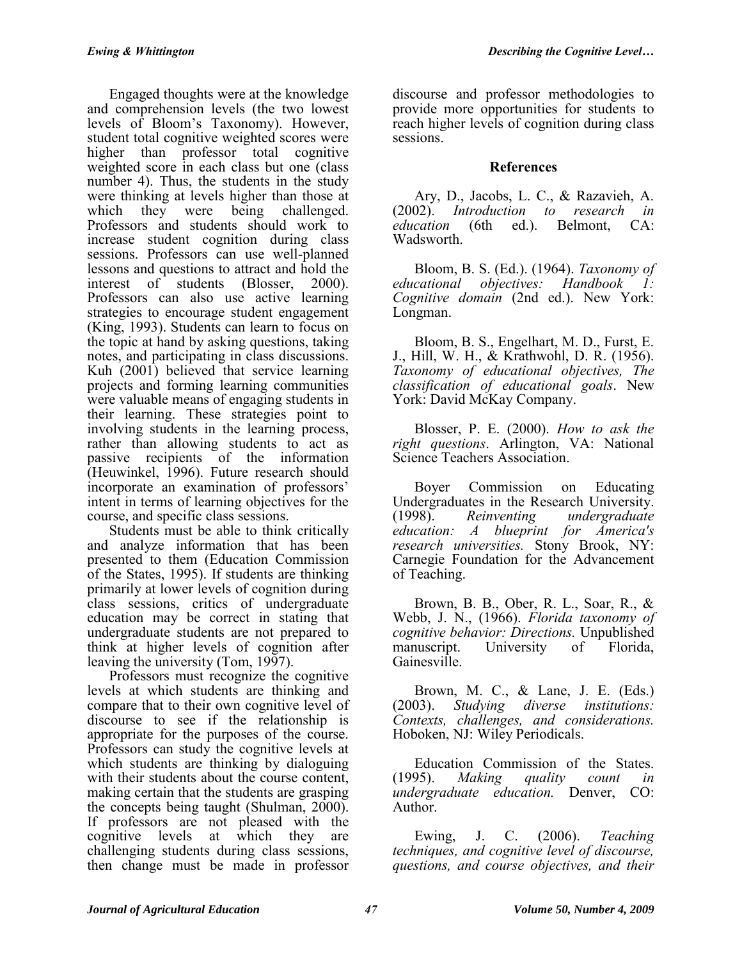Engaged thoughts were at the knowledge and comprehension levels (the two lowest levels of Bloom's Taxonomy). However, student total cognitive weighted scores were higher than professor total cognitive weighted score in each class but one (class number 4). Thus, the students in the study were thinking at levels higher than those at which they were being challenged. Professors and students should work to increase student cognition during class sessions. Professors can use well-planned lessons and questions to attract and hold the interest of students (Blosser, 2000). Professors can also use active learning strategies to encourage student engagement (King, 1993). Students can learn to focus on the topic at hand by asking questions, taking notes, and participating in class discussions. Kuh (2001) believed that service learning projects and forming learning communities were valuable means of engaging students in their learning. These strategies point to involving students in the learning process, rather than allowing students to act as passive recipients of the information (Heuwinkel, 1996). Future research should incorporate an examination of professors' intent in terms of learning objectives for the course, and specific class sessions.

Students must be able to think critically and analyze information that has been presented to them (Education Commission of the States, 1995). If students are thinking primarily at lower levels of cognition during class sessions, critics of undergraduate education may be correct in stating that undergraduate students are not prepared to think at higher levels of cognition after leaving the university (Tom, 1997).

Professors must recognize the cognitive levels at which students are thinking and compare that to their own cognitive level of discourse to see if the relationship is appropriate for the purposes of the course. Professors can study the cognitive levels at which students are thinking by dialoguing with their students about the course content, making certain that the students are grasping the concepts being taught (Shulman, 2000). If professors are not pleased with the cognitive levels at which they are challenging students during class sessions, then change must be made in professor

discourse and professor methodologies to provide more opportunities for students to reach higher levels of cognition during class sessions.

### **References**

Ary, D., Jacobs, L. C., & Razavieh, A. (2002). *Introduction to research in education* (6th ed.). Belmont, CA: Wadsworth.

Bloom, B. S. (Ed.). (1964). *Taxonomy of educational objectives: Handbook 1: Cognitive domain* (2nd ed.). New York: Longman.

Bloom, B. S., Engelhart, M. D., Furst, E. J., Hill, W. H., & Krathwohl, D. R. (1956). *Taxonomy of educational objectives, The classification of educational goals*. New York: David McKay Company.

Blosser, P. E. (2000). *How to ask the right questions*. Arlington, VA: National Science Teachers Association.

Boyer Commission on Educating Undergraduates in the Research University.<br>(1998). Reinventing undergraduate (1998). *Reinventing undergraduate education: A blueprint for America's research universities.* Stony Brook, NY: Carnegie Foundation for the Advancement of Teaching.

Brown, B. B., Ober, R. L., Soar, R., & Webb, J. N., (1966). *Florida taxonomy of cognitive behavior: Directions.* Unpublished University of Florida, Gainesville.

Brown, M. C., & Lane, J. E. (Eds.) (2003). *Studying diverse institutions: Contexts, challenges, and considerations.* Hoboken, NJ: Wiley Periodicals.

Education Commission of the States. (1995). *Making quality count in undergraduate education.* Denver, CO: Author.

Ewing, J. C. (2006). *Teaching techniques, and cognitive level of discourse, questions, and course objectives, and their*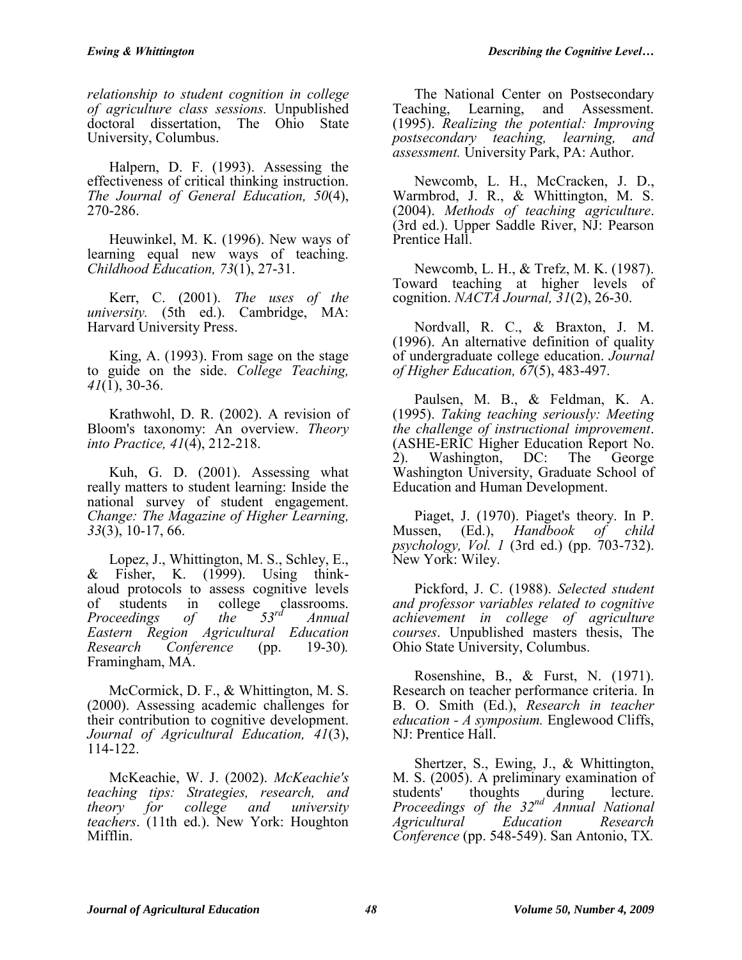*relationship to student cognition in college of agriculture class sessions.* Unpublished doctoral dissertation, The Ohio State University, Columbus.

Halpern, D. F. (1993). Assessing the effectiveness of critical thinking instruction. *The Journal of General Education, 50*(4), 270-286.

Heuwinkel, M. K. (1996). New ways of learning equal new ways of teaching. *Childhood Education, 73*(1), 27-31.

Kerr, C. (2001). *The uses of the university.* (5th ed.). Cambridge, MA: Harvard University Press.

King, A. (1993). From sage on the stage to guide on the side. *College Teaching, 41*(1), 30-36.

Krathwohl, D. R. (2002). A revision of Bloom's taxonomy: An overview. *Theory into Practice, 41*(4), 212-218.

Kuh, G. D. (2001). Assessing what really matters to student learning: Inside the national survey of student engagement. *Change: The Magazine of Higher Learning, 33*(3), 10-17, 66.

Lopez, J., Whittington, M. S., Schley, E., & Fisher, K. (1999). Using thinkaloud protocols to assess cognitive levels of students in college classrooms.<br>*Proceedings of the* 53<sup>rd</sup> Annual *Proceedings of the 53rd Annual Eastern Region Agricultural Education Research Conference* (pp. Framingham, MA.

McCormick, D. F., & Whittington, M. S. (2000). Assessing academic challenges for their contribution to cognitive development. *Journal of Agricultural Education, 41*(3), 114-122.

McKeachie, W. J. (2002). *McKeachie's teaching tips: Strategies, research, and theory for college and university theory for college and university teachers*. (11th ed.). New York: Houghton Mifflin.

The National Center on Postsecondary<br>ching, Learning, and Assessment. Teaching, Learning, and Assessment. (1995). *Realizing the potential: Improving postsecondary teaching, learning, and assessment.* University Park, PA: Author.

Newcomb, L. H., McCracken, J. D., Warmbrod, J. R., & Whittington, M. S. (2004). *Methods of teaching agriculture*. (3rd ed.). Upper Saddle River, NJ: Pearson Prentice Hall.

Newcomb, L. H., & Trefz, M. K. (1987). Toward teaching at higher levels of cognition. *NACTA Journal, 31*(2), 26-30.

Nordvall, R. C., & Braxton, J. M. (1996). An alternative definition of quality of undergraduate college education. *Journal of Higher Education, 67*(5), 483-497.

Paulsen, M. B., & Feldman, K. A. (1995). *Taking teaching seriously: Meeting the challenge of instructional improvement*. (ASHE-ERIC Higher Education Report No. 2). Washington, DC: The George Washington University, Graduate School of Education and Human Development.

Piaget, J. (1970). Piaget's theory. In P. Mussen, (Ed.), *Handbook of child psychology, Vol. 1* (3rd ed.) (pp. 703-732). New York: Wiley.

Pickford, J. C. (1988). *Selected student and professor variables related to cognitive achievement in college of agriculture courses*. Unpublished masters thesis, The Ohio State University, Columbus.

Rosenshine, B., & Furst, N. (1971). Research on teacher performance criteria. In B. O. Smith (Ed.), *Research in teacher education - A symposium.* Englewood Cliffs, NJ: Prentice Hall.

Shertzer, S., Ewing, J., & Whittington, M. S. (2005). A preliminary examination of students' thoughts during lecture. *Proceedings of the 32nd Annual National Agricultural Education Research Conference* (pp. 548-549). San Antonio, TX*.*